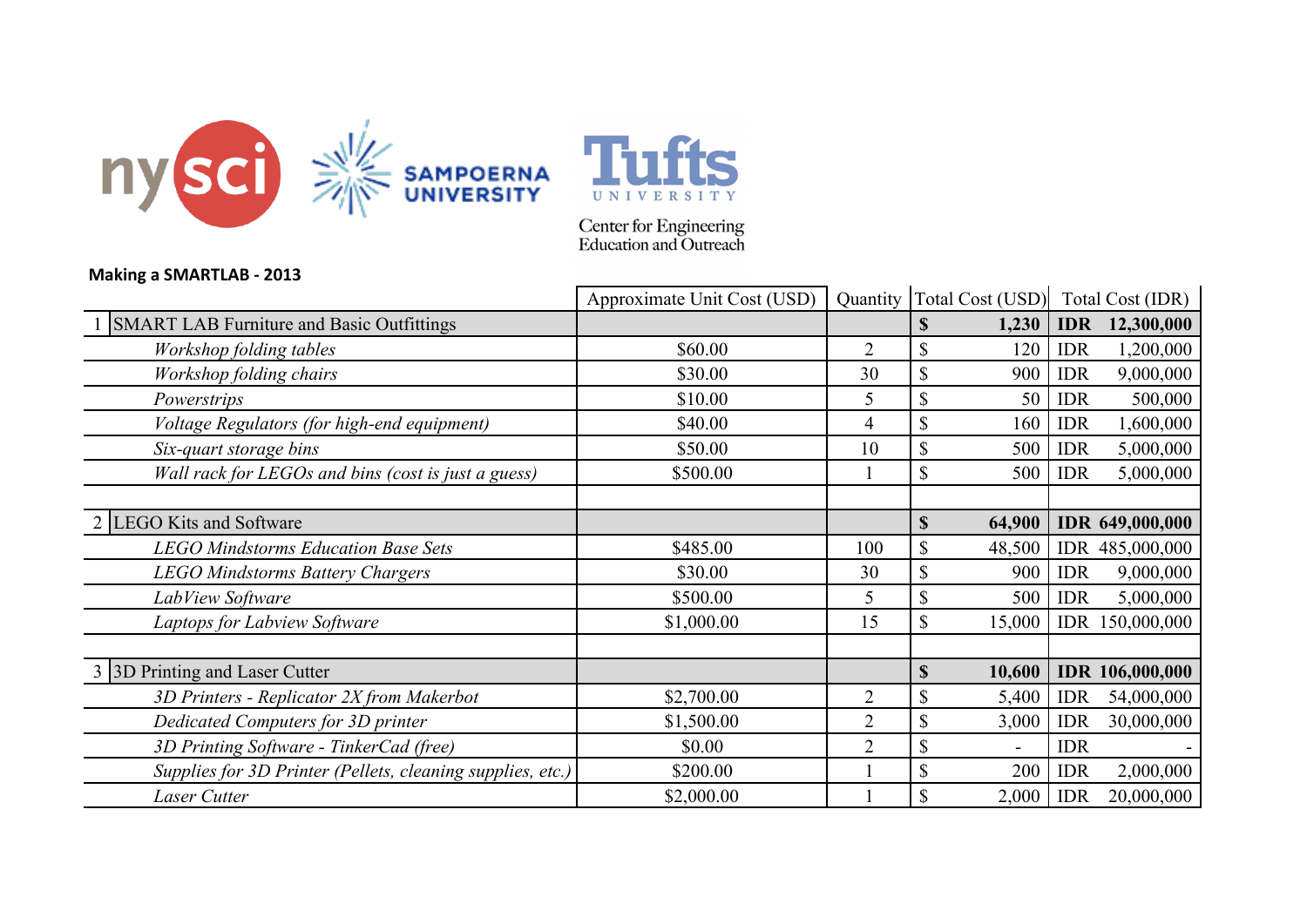



Center for Engineering<br>Education and Outreach

## **Making a SMARTLAB - 2013**

|                                                            | Approximate Unit Cost (USD) |                |                           |        |            | Quantity   Total Cost (USD)   Total Cost (IDR) |
|------------------------------------------------------------|-----------------------------|----------------|---------------------------|--------|------------|------------------------------------------------|
| <b>SMART LAB Furniture and Basic Outfittings</b>           |                             |                | $\mathbf{\$}$             | 1,230  | <b>IDR</b> | 12,300,000                                     |
| Workshop folding tables                                    | \$60.00                     | $\overline{2}$ | $\mathbb{S}$              | 120    | <b>IDR</b> | 1,200,000                                      |
| Workshop folding chairs                                    | \$30.00                     | 30             | $\boldsymbol{\mathsf{S}}$ | 900    | <b>IDR</b> | 9,000,000                                      |
| Powerstrips                                                | \$10.00                     | 5              | \$                        | 50     | <b>IDR</b> | 500,000                                        |
| Voltage Regulators (for high-end equipment)                | \$40.00                     | 4              | \$                        | 160    | <b>IDR</b> | 1,600,000                                      |
| Six-quart storage bins                                     | \$50.00                     | 10             | \$                        | 500    | <b>IDR</b> | 5,000,000                                      |
| Wall rack for LEGOs and bins (cost is just a guess)        | \$500.00                    |                | \$                        | 500    | <b>IDR</b> | 5,000,000                                      |
|                                                            |                             |                |                           |        |            |                                                |
| 2 LEGO Kits and Software                                   |                             |                | $\mathbb{S}$              | 64,900 |            | <b>IDR 649,000,000</b>                         |
| <b>LEGO Mindstorms Education Base Sets</b>                 | \$485.00                    | 100            | $\boldsymbol{\mathsf{S}}$ | 48,500 |            | IDR 485,000,000                                |
| <b>LEGO Mindstorms Battery Chargers</b>                    | \$30.00                     | 30             | \$                        | 900    | <b>IDR</b> | 9,000,000                                      |
| LabView Software                                           | \$500.00                    | 5              | \$                        | 500    | <b>IDR</b> | 5,000,000                                      |
| Laptops for Labview Software                               | \$1,000.00                  | 15             | $\mathbb{S}$              | 15,000 | <b>IDR</b> | 150,000,000                                    |
|                                                            |                             |                |                           |        |            |                                                |
| 3 3D Printing and Laser Cutter                             |                             |                | $\mathbf S$               | 10,600 |            | <b>IDR</b> 106,000,000                         |
| 3D Printers - Replicator 2X from Makerbot                  | \$2,700.00                  | $\overline{2}$ | $\boldsymbol{\mathsf{S}}$ | 5,400  | <b>IDR</b> | 54,000,000                                     |
| Dedicated Computers for 3D printer                         | \$1,500.00                  | $\overline{2}$ | $\boldsymbol{\mathsf{S}}$ | 3,000  | <b>IDR</b> | 30,000,000                                     |
| 3D Printing Software - TinkerCad (free)                    | \$0.00                      | $\overline{2}$ | $\mathbb{S}$              |        | <b>IDR</b> |                                                |
| Supplies for 3D Printer (Pellets, cleaning supplies, etc.) | \$200.00                    |                | \$                        | 200    | <b>IDR</b> | 2,000,000                                      |
| Laser Cutter                                               | \$2,000.00                  |                | $\boldsymbol{\mathsf{S}}$ | 2,000  | <b>IDR</b> | 20,000,000                                     |